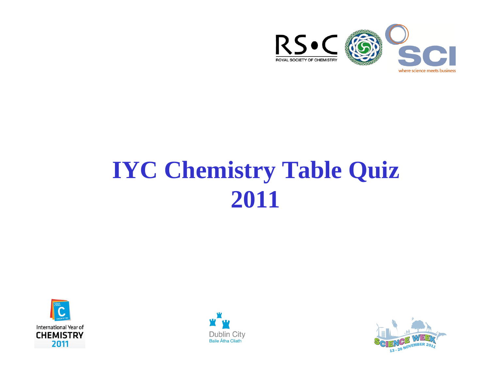

# **IYC Chemistry Table Quiz 2011**





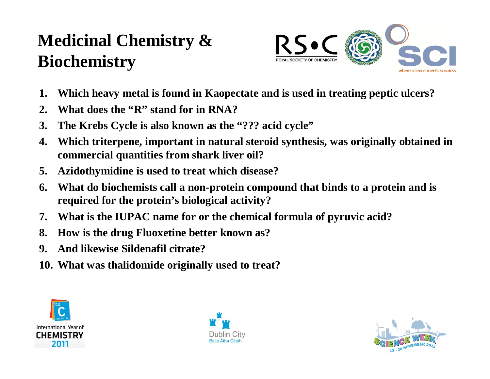### **Medicinal Chemistry & Biochemistry**



- **1. Which heavy metal is found in Kaopectate and is used in treating peptic ulcers?**
- **2. What does the "R" stand for in RNA?**
- **3. The Krebs Cycle is also known as the "??? acid cycle"**
- **4. Which triterpene, important in natural steroid synthesis, was originally obtained in commercial quantities from shark liver oil?**
- **5. Azidothymidine is used to treat which disease?**
- **6. What do biochemists call a non-protein compound that binds to a protein and is required for the protein's biological activity?**
- **7. What is the IUPAC name for or the chemical formula of pyruvic acid?**
- **8. How is the drug Fluoxetine better known as?**
- **9. And likewise Sildenafil citrate?**
- **10. What was thalidomide originally used to treat?**





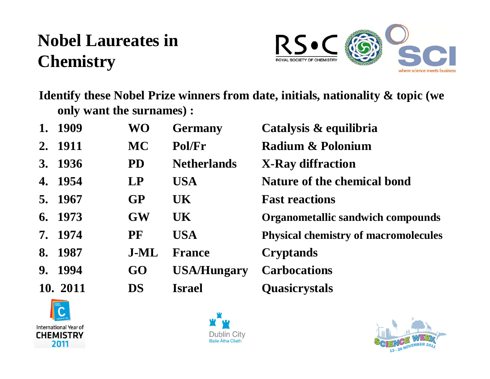### **Nobel Laureates in Chemistry**



**Identify these Nobel Prize winners from date, initials, nationality & topic (we only want the surnames) :**

| 1. | 1909     | <b>WO</b> | <b>Germany</b>     | Catalysis & equilibria                      |
|----|----------|-----------|--------------------|---------------------------------------------|
|    | 2. 1911  | <b>MC</b> | Pol/Fr             | Radium & Polonium                           |
|    | 3. 1936  | <b>PD</b> | <b>Netherlands</b> | <b>X-Ray diffraction</b>                    |
| 4. | 1954     | <b>LP</b> | <b>USA</b>         | <b>Nature of the chemical bond</b>          |
|    | 5. 1967  | <b>GP</b> | <b>UK</b>          | <b>Fast reactions</b>                       |
| 6. | 1973     | <b>GW</b> | UK <sup>1</sup>    | <b>Organometallic sandwich compounds</b>    |
|    | 7. 1974  | PF        | <b>USA</b>         | <b>Physical chemistry of macromolecules</b> |
| 8. | 1987     | J-ML      | <b>France</b>      | <b>Cryptands</b>                            |
| 9. | 1994     | GO        | <b>USA/Hungary</b> | <b>Carbocations</b>                         |
|    | 10. 2011 | <b>DS</b> | <b>Israel</b>      | <b>Quasicrystals</b>                        |





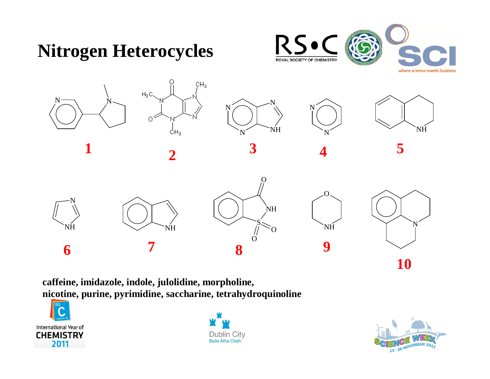

**caffeine, imidazole, indole, julolidine, morpholine, nicotine, purine, pyrimidine, saccharine, tetrahydroquinoline**





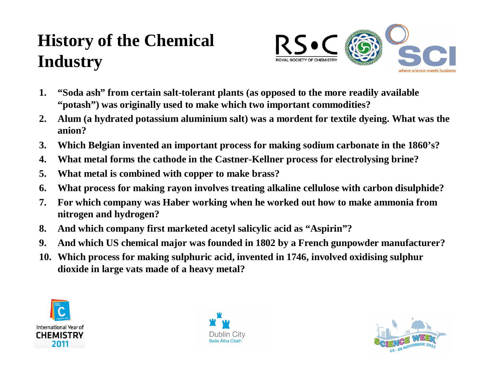### **History of the Chemical Industry**



- **1. "Soda ash" from certain salt-tolerant plants (as opposed to the more readily available "potash") was originally used to make which two important commodities?**
- **2. Alum (a hydrated potassium aluminium salt) was a mordent for textile dyeing. What was the anion?**
- **3. Which Belgian invented an important process for making sodium carbonate in the 1860's?**
- **4. What metal forms the cathode in the Castner-Kellner process for electrolysing brine?**
- **5. What metal is combined with copper to make brass?**
- **6. What process for making rayon involves treating alkaline cellulose with carbon disulphide?**
- **7. For which company was Haber working when he worked out how to make ammonia from nitrogen and hydrogen?**
- **8. And which company first marketed acetyl salicylic acid as "Aspirin"?**
- **9. And which US chemical major was founded in 1802 by a French gunpowder manufacturer?**
- **10. Which process for making sulphuric acid, invented in 1746, involved oxidising sulphur dioxide in large vats made of a heavy metal?**





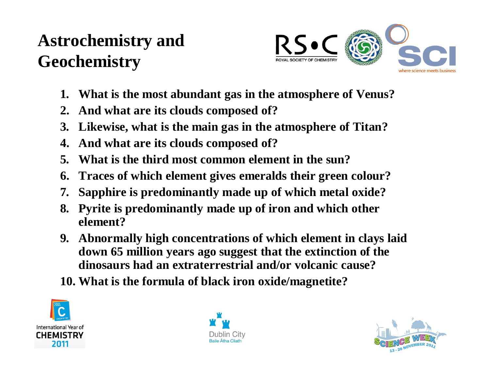### **Astrochemistry and Geochemistry**



- **1. What is the most abundant gas in the atmosphere of Venus?**
- **2. And what are its clouds composed of?**
- **3. Likewise, what is the main gas in the atmosphere of Titan?**
- **4. And what are its clouds composed of?**
- **5. What is the third most common element in the sun?**
- **6. Traces of which element gives emeralds their green colour?**
- **7. Sapphire is predominantly made up of which metal oxide?**
- **8. Pyrite is predominantly made up of iron and which other element?**
- **9. Abnormally high concentrations of which element in clays laid down 65 million years ago suggest that the extinction of the dinosaurs had an extraterrestrial and/or volcanic cause?**
- **10. What is the formula of black iron oxide/magnetite?**





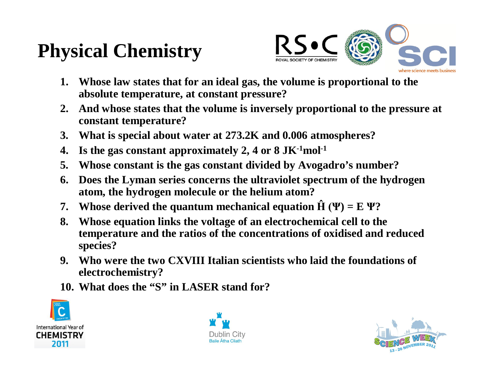# **Physical Chemistry**



- **1. Whose law states that for an ideal gas, the volume is proportional to the absolute temperature, at constant pressure?**
- **2. And whose states that the volume is inversely proportional to the pressure at constant temperature?**
- **3. What is special about water at 273.2K and 0.006 atmospheres?**
- **4. Is the gas constant approximately 2, 4 or 8 JK-1mol-1**
- **5. Whose constant is the gas constant divided by Avogadro's number?**
- **6. Does the Lyman series concerns the ultraviolet spectrum of the hydrogen atom, the hydrogen molecule or the helium atom?**
- **7.** Whose derived the quantum mechanical equation  $\hat{H}(\Psi) = E \Psi$ ?
- **8. Whose equation links the voltage of an electrochemical cell to the temperature and the ratios of the concentrations of oxidised and reduced species?**
- **9. Who were the two CXVIII Italian scientists who laid the foundations of electrochemistry?**
- **10. What does the "S" in LASER stand for?**





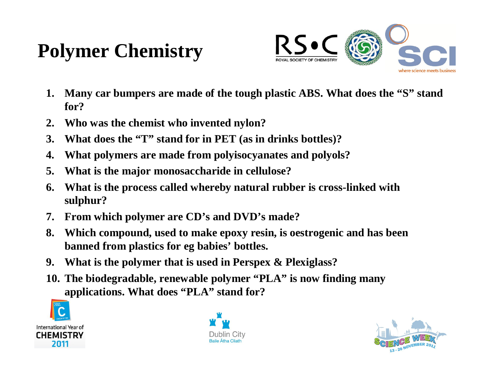## **Polymer Chemistry**



- **1. Many car bumpers are made of the tough plastic ABS. What does the "S" stand for?**
- **2. Who was the chemist who invented nylon?**
- **3. What does the "T" stand for in PET (as in drinks bottles)?**
- **4. What polymers are made from polyisocyanates and polyols?**
- **5. What is the major monosaccharide in cellulose?**
- **6. What is the process called whereby natural rubber is cross-linked with sulphur?**
- **7. From which polymer are CD's and DVD's made?**
- **8. Which compound, used to make epoxy resin, is oestrogenic and has been banned from plastics for eg babies' bottles.**
- **9. What is the polymer that is used in Perspex & Plexiglass?**
- **10. The biodegradable, renewable polymer "PLA" is now finding many applications. What does "PLA" stand for?**





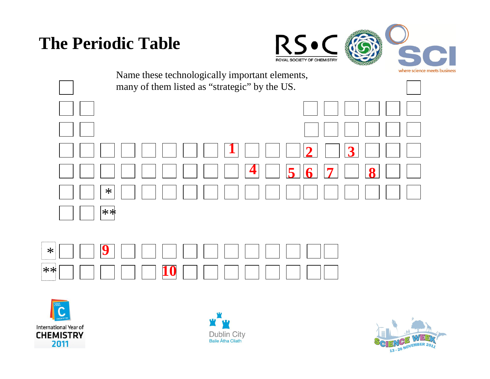#### **The Periodic Table**









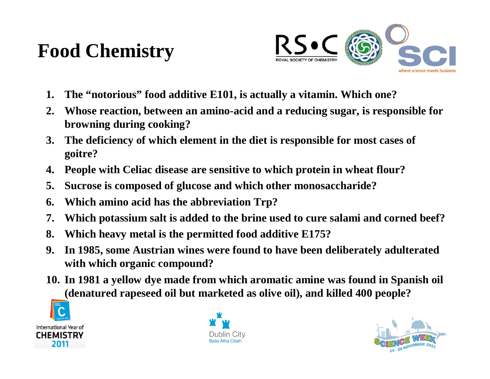### **Food Chemistry**



- **1. The "notorious" food additive E101, is actually a vitamin. Which one?**
- **2. Whose reaction, between an amino-acid and a reducing sugar, is responsible for browning during cooking?**
- **3. The deficiency of which element in the diet is responsible for most cases of goitre?**
- **4. People with Celiac disease are sensitive to which protein in wheat flour?**
- **5. Sucrose is composed of glucose and which other monosaccharide?**
- **6. Which amino acid has the abbreviation Trp?**
- **7. Which potassium salt is added to the brine used to cure salami and corned beef?**
- **8. Which heavy metal is the permitted food additive E175?**
- **9. In 1985, some Austrian wines were found to have been deliberately adulterated with which organic compound?**
- **10. In 1981 a yellow dye made from which aromatic amine was found in Spanish oil (denatured rapeseed oil but marketed as olive oil), and killed 400 people?**